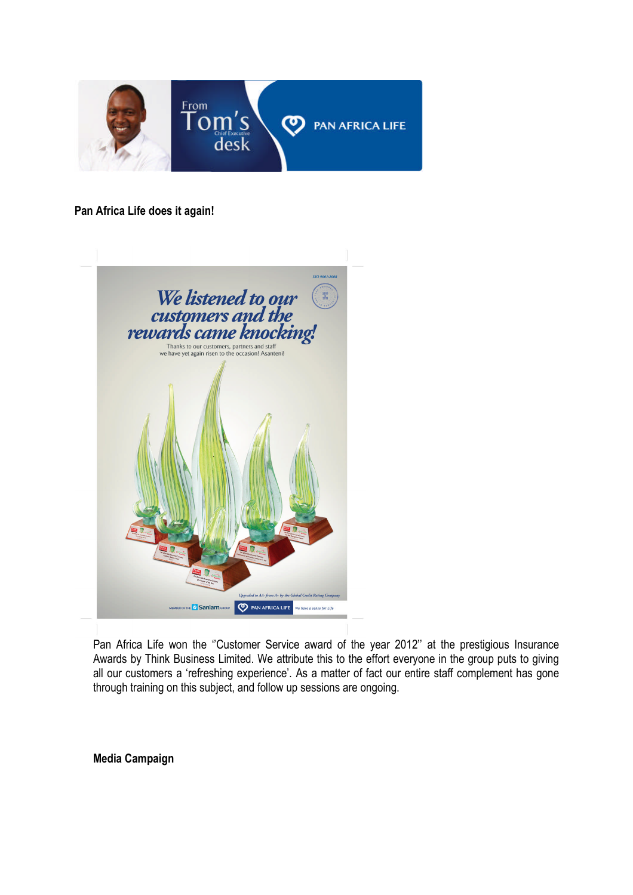

## **Pan Africa Life does it again!**



Pan Africa Life won the "Customer Service award of the year 2012" at the prestigious Insurance Awards by Think Business Limited. We attribute this to the effort everyone in the group puts to giving all our customers a 'refreshing experience'. As a matter of fact our entire staff complement has gone through training on this subject, and follow up sessions are ongoing.

**Media Campaign**